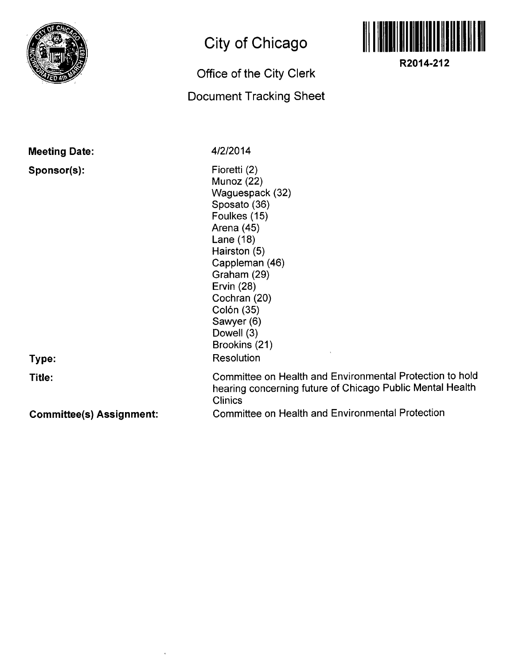

## **City of Chicago**

## **Office of the City Clerk Document Tracking Sheet**



**R2014-212** 

**Meeting Date:** 

**Sponsor(s):** 

**Type:** 

**Title:** 

**4/2/2014** 

**Clinics** 

Fioretti (2) Munoz (22) Waguespack (32) Sposato (36) Foulkes (15) Arena (45) Lane (18) Hairston (5) Cappleman (46) Graham (29) Ervin (28) Cochran (20) Colón (35) Sawyer (6) Dowell (3) Brookins (21) **Resolution** Committee on Health and Environmental Protection to hold

**Committee(s) Assignment:** 

Committee on Health and Environmental Protection

hearing concerning future of Chicago Public Mental Health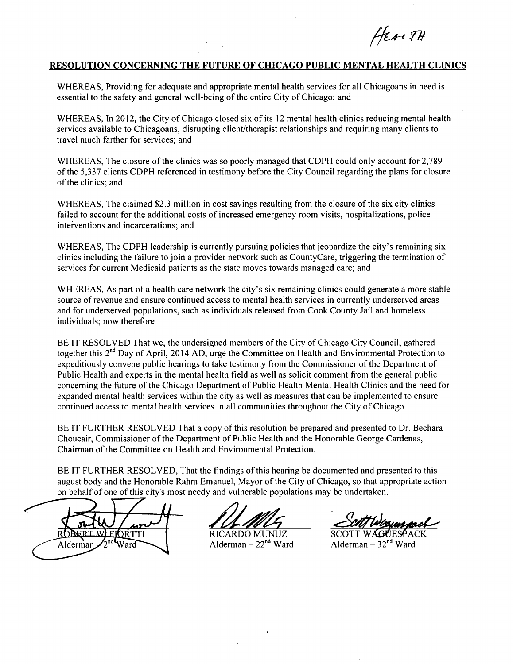HEACTH

## **RESOLUTION CONCERNING THE FUTURE OF CHICAGO PUBLIC MENTAL HEALTH CLINICS**

WHEREAS, Providing for adequate and appropriate mental health services for all Chicagoans in need is essential to the safety and general well-being of the entire City of Chicago; and

WHEREAS, In 2012, the City of Chicago closed six of its 12 mental health clinics reducing mental health services available to Chicagoans, disrupting client/therapist relationships and requiring many clients to travel much farther for services; and

WHEREAS, The closure of the clinics was so poorly managed that CDPH could only account for 2,789 of the 5,337 clients CDPH referenced in testimony before the City Council regarding the plans for closure of the clinics; and

WHEREAS, The claimed \$2.3 million in cost savings resulting from the closure of the six city clinics failed to account for the additional costs of increased emergency room visits, hospitalizations, police interventions and incarcerations; and

WHEREAS, The CDPH leadership is currently pursuing policies that jeopardize the city's remaining six clinics including the failure to join a provider network such as CountyCare, triggering the termination of services for current Medicaid patients as the state moves towards managed care; and

WHEREAS, As part of a health care network the city's six remaining clinics could generate a more stable source of revenue and ensure continued access to mental health services in currently underserved areas and for underserved populations, such as individuals released from Cook County Jail and homeless individuals; now therefore

BE IT RESOLVED That we, the undersigned members of the City of Chicago City Council, gathered together this 2<sup>nd</sup> Day of April, 2014 AD, urge the Committee on Health and Environmental Protection to expeditiously convene public hearings to take testimony from the Commissioner of the Department of Public Health and experts in the mental health field as well as solicit comment from the general public concerning the future of the Chicago Department of Public Health Mental Health Clinics and the need for expanded mental health services within the city as well as measures that can be implemented to ensure continued access to mental health services in all communities throughout the City of Chicago.

BE IT FURTHER RESOLVED That a copy of this resolution be prepared and presented to Dr. Bechara Choucair, Commissioner of the Department of Public Health and the Honorable George Cardenas, Chairman of the Committee on Health and Environmental Protection.

BE IT FURTHER RESOLVED, That the findings of this hearing be documented and presented to this august body and the Honorable Rahm Emanuel, Mayor of the City of Chicago, so that appropriate action on behalf of one of this city's most needy and vulnerable populations may be undertaken.

<u>)</u> KTTI Alderman

RICARDO MUNUZ SCOTT WAGUESP<br>Alderman –  $22^{nd}$  Ward Alderman –  $32^{nd}$  Wa

 $\mathcal{O}_{\bullet}$ 

Alderman  $-32<sup>nd</sup>$  Ward